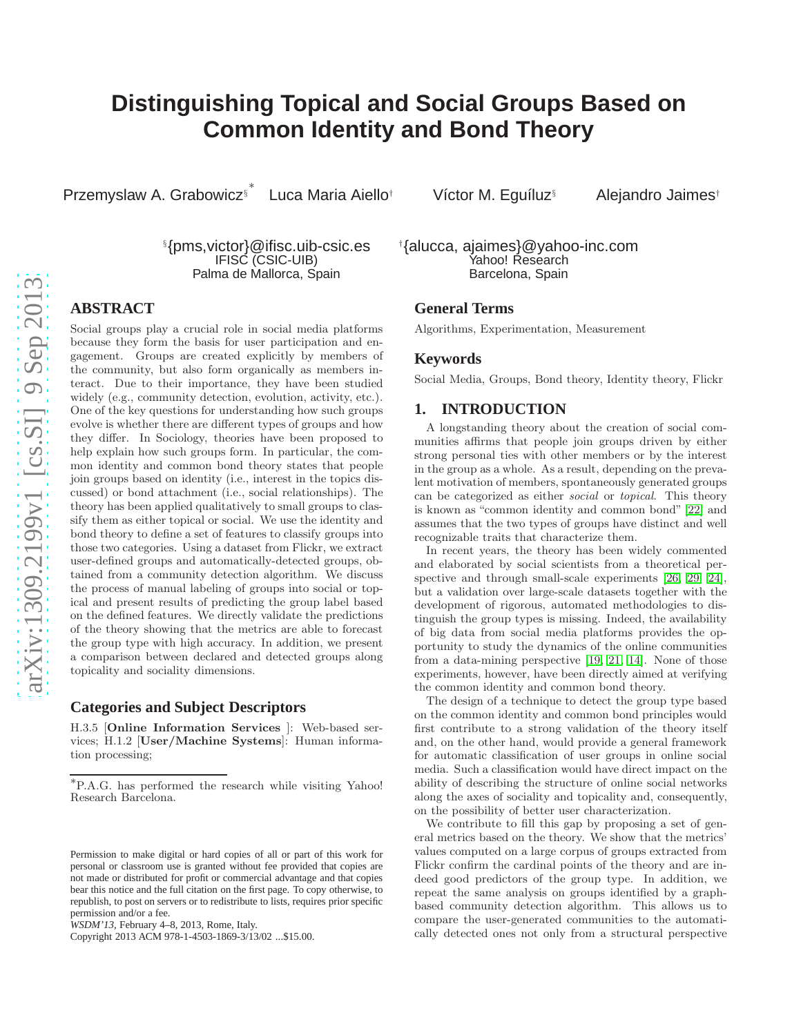# **Distinguishing Topical and Social Groups Based on Common Identity and Bond Theory**

Przemyslaw A. Grabowicz<sup>s\*</sup>

Luca Maria Aiello

Víctor M. Equíluz<sup>§</sup>

§ Alejandro Jaimes †

§ {pms,victor}@ifisc.uib-csic.es Palma de Mallorca, Spain Barcelona, Spain

† {alucca, ajaimes}@yahoo-inc.com IFISC (CSIC-UIB) Vahoo! Research

# **ABSTRACT**

Social groups play a crucial role in social media platforms because they form the basis for user participation and engagement. Groups are created explicitly by members of the community, but also form organically as members interact. Due to their importance, they have been studied widely (e.g., community detection, evolution, activity, etc.). One of the key questions for understanding how such groups evolve is whether there are different types of groups and how they differ. In Sociology, theories have been proposed to help explain how such groups form. In particular, the common identity and common bond theory states that people join groups based on identity (i.e., interest in the topics discussed) or bond attachment (i.e., social relationships). The theory has been applied qualitatively to small groups to classify them as either topical or social. We use the identity and bond theory to define a set of features to classify groups into those two categories. Using a dataset from Flickr, we extrac t user-defined groups and automatically-detected groups, ob tained from a community detection algorithm. We discuss the process of manual labeling of groups into social or topical and present results of predicting the group label based on the defined features. We directly validate the prediction s of the theory showing that the metrics are able to forecast the group type with high accuracy. In addition, we present a comparison between declared and detected groups along topicality and sociality dimensions.

## **Categories and Subject Descriptors**

H.3.5 [Online Information Services ]: Web-based services; H.1.2 [User/Machine Systems]: Human information processing;

Copyright 2013 ACM 978-1-4503-1869-3/13/02 ...\$15.00.

**General Terms**

Algorithms, Experimentation, Measurement

## **Keywords**

Social Media, Groups, Bond theory, Identity theory, Flickr

## **1. INTRODUCTION**

A longstanding theory about the creation of social communities affirms that people join groups driven by either strong personal ties with other members or by the interest in the group as a whole. As a result, depending on the prevalent motivation of members, spontaneously generated groups can be categorized as either social or topical. This theory is known as "common identity and common bond" [\[22\]](#page-9-0) and assumes that the two types of groups have distinct and well recognizable traits that characterize them.

In recent years, the theory has been widely commented and elaborated by social scientists from a theoretical perspective and through small-scale experiments [\[26,](#page-9-1) [29,](#page-9-2) [24\]](#page-9-3), but a validation over large-scale datasets together with th e development of rigorous, automated methodologies to distinguish the group types is missing. Indeed, the availability of big data from social media platforms provides the opportunity to study the dynamics of the online communities from a data-mining perspective [\[19,](#page-9-4) [21,](#page-9-5) [14\]](#page-9-6). None of those experiments, however, have been directly aimed at verifyin g the common identity and common bond theory.

The design of a technique to detect the group type based on the common identity and common bond principles would first contribute to a strong validation of the theory itself and, on the other hand, would provide a general framework for automatic classification of user groups in online social media. Such a classification would have direct impact on the ability of describing the structure of online social networks along the axes of sociality and topicality and, consequently, on the possibility of better user characterization.

We contribute to fill this gap by proposing a set of general metrics based on the theory. We show that the metrics' values computed on a large corpus of groups extracted from Flickr confirm the cardinal points of the theory and are indeed good predictors of the group type. In addition, we repeat the same analysis on groups identified by a graphbased community detection algorithm. This allows us to compare the user-generated communities to the automatically detected ones not only from a structural perspective

<sup>∗</sup>P.A.G. has performed the research while visiting Yahoo! Research Barcelona.

Permission to make digital or hard copies of all or part of this work for personal or classroom use is granted without fee provided that copies are not made or distributed for profit or commercial advantage and that copies bear this notice and the full citation on the first page. To copy otherwise, to republish, to post on servers or to redistribute to lists, requires prior specific permission and/or a fee.

*WSDM'13,* February 4–8, 2013, Rome, Italy.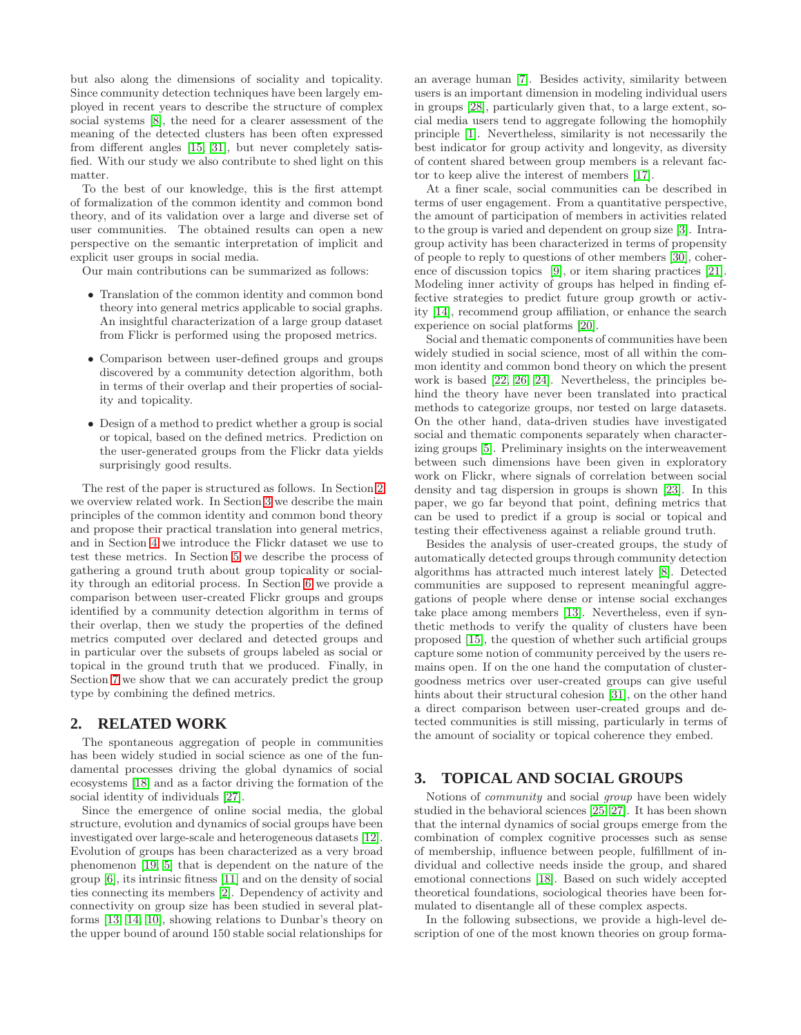but also along the dimensions of sociality and topicality. Since community detection techniques have been largely employed in recent years to describe the structure of complex social systems [\[8\]](#page-9-7), the need for a clearer assessment of the meaning of the detected clusters has been often expressed from different angles [\[15,](#page-9-8) [31\]](#page-9-9), but never completely satisfied. With our study we also contribute to shed light on this matter.

To the best of our knowledge, this is the first attempt of formalization of the common identity and common bond theory, and of its validation over a large and diverse set of user communities. The obtained results can open a new perspective on the semantic interpretation of implicit and explicit user groups in social media.

Our main contributions can be summarized as follows:

- Translation of the common identity and common bond theory into general metrics applicable to social graphs. An insightful characterization of a large group dataset from Flickr is performed using the proposed metrics.
- Comparison between user-defined groups and groups discovered by a community detection algorithm, both in terms of their overlap and their properties of sociality and topicality.
- Design of a method to predict whether a group is social or topical, based on the defined metrics. Prediction on the user-generated groups from the Flickr data yields surprisingly good results.

The rest of the paper is structured as follows. In Section [2](#page-1-0) we overview related work. In Section [3](#page-1-1) we describe the main principles of the common identity and common bond theory and propose their practical translation into general metrics, and in Section [4](#page-3-0) we introduce the Flickr dataset we use to test these metrics. In Section [5](#page-3-1) we describe the process of gathering a ground truth about group topicality or sociality through an editorial process. In Section [6](#page-5-0) we provide a comparison between user-created Flickr groups and groups identified by a community detection algorithm in terms of their overlap, then we study the properties of the defined metrics computed over declared and detected groups and in particular over the subsets of groups labeled as social or topical in the ground truth that we produced. Finally, in Section [7](#page-7-0) we show that we can accurately predict the group type by combining the defined metrics.

### <span id="page-1-0"></span>**2. RELATED WORK**

The spontaneous aggregation of people in communities has been widely studied in social science as one of the fundamental processes driving the global dynamics of social ecosystems [\[18\]](#page-9-10) and as a factor driving the formation of the social identity of individuals [\[27\]](#page-9-11).

Since the emergence of online social media, the global structure, evolution and dynamics of social groups have been investigated over large-scale and heterogeneous datasets [\[12\]](#page-9-12). Evolution of groups has been characterized as a very broad phenomenon [\[19,](#page-9-4) [5\]](#page-9-13) that is dependent on the nature of the group [\[6\]](#page-9-14), its intrinsic fitness [\[11\]](#page-9-15) and on the density of social ties connecting its members [\[2\]](#page-9-16). Dependency of activity and connectivity on group size has been studied in several platforms [\[13,](#page-9-17) [14,](#page-9-6) [10\]](#page-9-18), showing relations to Dunbar's theory on the upper bound of around 150 stable social relationships for

an average human [\[7\]](#page-9-19). Besides activity, similarity between users is an important dimension in modeling individual users in groups [\[28\]](#page-9-20), particularly given that, to a large extent, social media users tend to aggregate following the homophily principle [\[1\]](#page-9-21). Nevertheless, similarity is not necessarily the best indicator for group activity and longevity, as diversity of content shared between group members is a relevant factor to keep alive the interest of members [\[17\]](#page-9-22).

At a finer scale, social communities can be described in terms of user engagement. From a quantitative perspective, the amount of participation of members in activities related to the group is varied and dependent on group size [\[3\]](#page-9-23). Intragroup activity has been characterized in terms of propensity of people to reply to questions of other members [\[30\]](#page-9-24), coherence of discussion topics [\[9\]](#page-9-25), or item sharing practices [\[21\]](#page-9-5). Modeling inner activity of groups has helped in finding effective strategies to predict future group growth or activity [\[14\]](#page-9-6), recommend group affiliation, or enhance the search experience on social platforms [\[20\]](#page-9-26).

Social and thematic components of communities have been widely studied in social science, most of all within the common identity and common bond theory on which the present work is based [\[22,](#page-9-0) [26,](#page-9-1) [24\]](#page-9-3). Nevertheless, the principles behind the theory have never been translated into practical methods to categorize groups, nor tested on large datasets. On the other hand, data-driven studies have investigated social and thematic components separately when characterizing groups [\[5\]](#page-9-13). Preliminary insights on the interweavement between such dimensions have been given in exploratory work on Flickr, where signals of correlation between social density and tag dispersion in groups is shown [\[23\]](#page-9-27). In this paper, we go far beyond that point, defining metrics that can be used to predict if a group is social or topical and testing their effectiveness against a reliable ground truth.

Besides the analysis of user-created groups, the study of automatically detected groups through community detection algorithms has attracted much interest lately [\[8\]](#page-9-7). Detected communities are supposed to represent meaningful aggregations of people where dense or intense social exchanges take place among members [\[13\]](#page-9-17). Nevertheless, even if synthetic methods to verify the quality of clusters have been proposed [\[15\]](#page-9-8), the question of whether such artificial groups capture some notion of community perceived by the users remains open. If on the one hand the computation of clustergoodness metrics over user-created groups can give useful hints about their structural cohesion [\[31\]](#page-9-9), on the other hand a direct comparison between user-created groups and detected communities is still missing, particularly in terms of the amount of sociality or topical coherence they embed.

## <span id="page-1-1"></span>**3. TOPICAL AND SOCIAL GROUPS**

Notions of community and social group have been widely studied in the behavioral sciences [\[25,](#page-9-28) [27\]](#page-9-11). It has been shown that the internal dynamics of social groups emerge from the combination of complex cognitive processes such as sense of membership, influence between people, fulfillment of individual and collective needs inside the group, and shared emotional connections [\[18\]](#page-9-10). Based on such widely accepted theoretical foundations, sociological theories have been formulated to disentangle all of these complex aspects.

In the following subsections, we provide a high-level description of one of the most known theories on group forma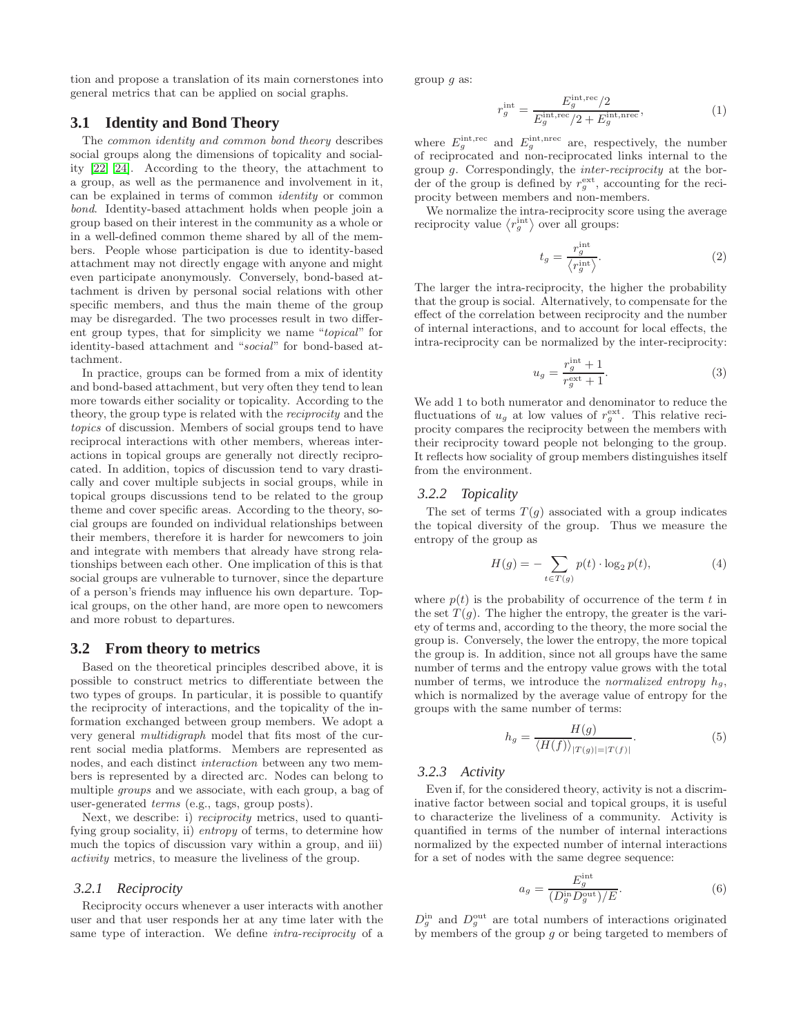tion and propose a translation of its main cornerstones into general metrics that can be applied on social graphs.

## **3.1 Identity and Bond Theory**

The common identity and common bond theory describes social groups along the dimensions of topicality and sociality [\[22,](#page-9-0) [24\]](#page-9-3). According to the theory, the attachment to a group, as well as the permanence and involvement in it, can be explained in terms of common identity or common bond. Identity-based attachment holds when people join a group based on their interest in the community as a whole or in a well-defined common theme shared by all of the members. People whose participation is due to identity-based attachment may not directly engage with anyone and might even participate anonymously. Conversely, bond-based attachment is driven by personal social relations with other specific members, and thus the main theme of the group may be disregarded. The two processes result in two different group types, that for simplicity we name "topical" for identity-based attachment and "social" for bond-based attachment.

In practice, groups can be formed from a mix of identity and bond-based attachment, but very often they tend to lean more towards either sociality or topicality. According to the theory, the group type is related with the reciprocity and the topics of discussion. Members of social groups tend to have reciprocal interactions with other members, whereas interactions in topical groups are generally not directly reciprocated. In addition, topics of discussion tend to vary drastically and cover multiple subjects in social groups, while in topical groups discussions tend to be related to the group theme and cover specific areas. According to the theory, social groups are founded on individual relationships between their members, therefore it is harder for newcomers to join and integrate with members that already have strong relationships between each other. One implication of this is that social groups are vulnerable to turnover, since the departure of a person's friends may influence his own departure. Topical groups, on the other hand, are more open to newcomers and more robust to departures.

## <span id="page-2-0"></span>**3.2 From theory to metrics**

Based on the theoretical principles described above, it is possible to construct metrics to differentiate between the two types of groups. In particular, it is possible to quantify the reciprocity of interactions, and the topicality of the information exchanged between group members. We adopt a very general multidigraph model that fits most of the current social media platforms. Members are represented as nodes, and each distinct interaction between any two members is represented by a directed arc. Nodes can belong to multiple groups and we associate, with each group, a bag of user-generated terms (e.g., tags, group posts).

Next, we describe: i) reciprocity metrics, used to quantifying group sociality, ii) entropy of terms, to determine how much the topics of discussion vary within a group, and iii) activity metrics, to measure the liveliness of the group.

#### *3.2.1 Reciprocity*

Reciprocity occurs whenever a user interacts with another user and that user responds her at any time later with the same type of interaction. We define intra-reciprocity of a group  $g$  as:

$$
r_g^{\text{int}} = \frac{E_g^{\text{int,rec}}/2}{E_g^{\text{int,rec}}/2 + E_g^{\text{int,prec}}},\tag{1}
$$

where  $E_g^{\text{int,rec}}$  and  $E_g^{\text{int,tree}}$  are, respectively, the number of reciprocated and non-reciprocated links internal to the group g. Correspondingly, the inter-reciprocity at the border of the group is defined by  $r_g^{\text{ext}}$ , accounting for the reciprocity between members and non-members.

We normalize the intra-reciprocity score using the average reciprocity value  $\langle r_g^{\text{int}} \rangle$  over all groups:

$$
t_g = \frac{r_g^{\text{int}}}{\langle r_g^{\text{int}} \rangle}.
$$
 (2)

The larger the intra-reciprocity, the higher the probability that the group is social. Alternatively, to compensate for the effect of the correlation between reciprocity and the number of internal interactions, and to account for local effects, the intra-reciprocity can be normalized by the inter-reciprocity:

$$
u_g = \frac{r_g^{\text{int}} + 1}{r_g^{\text{ext}} + 1}.\tag{3}
$$

We add 1 to both numerator and denominator to reduce the fluctuations of  $u_g$  at low values of  $r_g^{\text{ext}}$ . This relative reciprocity compares the reciprocity between the members with their reciprocity toward people not belonging to the group. It reflects how sociality of group members distinguishes itself from the environment.

## *3.2.2 Topicality*

The set of terms  $T(g)$  associated with a group indicates the topical diversity of the group. Thus we measure the entropy of the group as

$$
H(g) = -\sum_{t \in T(g)} p(t) \cdot \log_2 p(t),\tag{4}
$$

where  $p(t)$  is the probability of occurrence of the term t in the set  $T(q)$ . The higher the entropy, the greater is the variety of terms and, according to the theory, the more social the group is. Conversely, the lower the entropy, the more topical the group is. In addition, since not all groups have the same number of terms and the entropy value grows with the total number of terms, we introduce the normalized entropy  $h_q$ , which is normalized by the average value of entropy for the groups with the same number of terms:

$$
h_g = \frac{H(g)}{\langle H(f) \rangle_{|T(g)|=|T(f)|}}.\tag{5}
$$

#### *3.2.3 Activity*

Even if, for the considered theory, activity is not a discriminative factor between social and topical groups, it is useful to characterize the liveliness of a community. Activity is quantified in terms of the number of internal interactions normalized by the expected number of internal interactions for a set of nodes with the same degree sequence:

$$
a_g = \frac{E_g^{\text{int}}}{(D_g^{\text{in}} D_g^{\text{out}})/E}.\tag{6}
$$

 $D_g^{\text{in}}$  and  $D_g^{\text{out}}$  are total numbers of interactions originated by members of the group  $g$  or being targeted to members of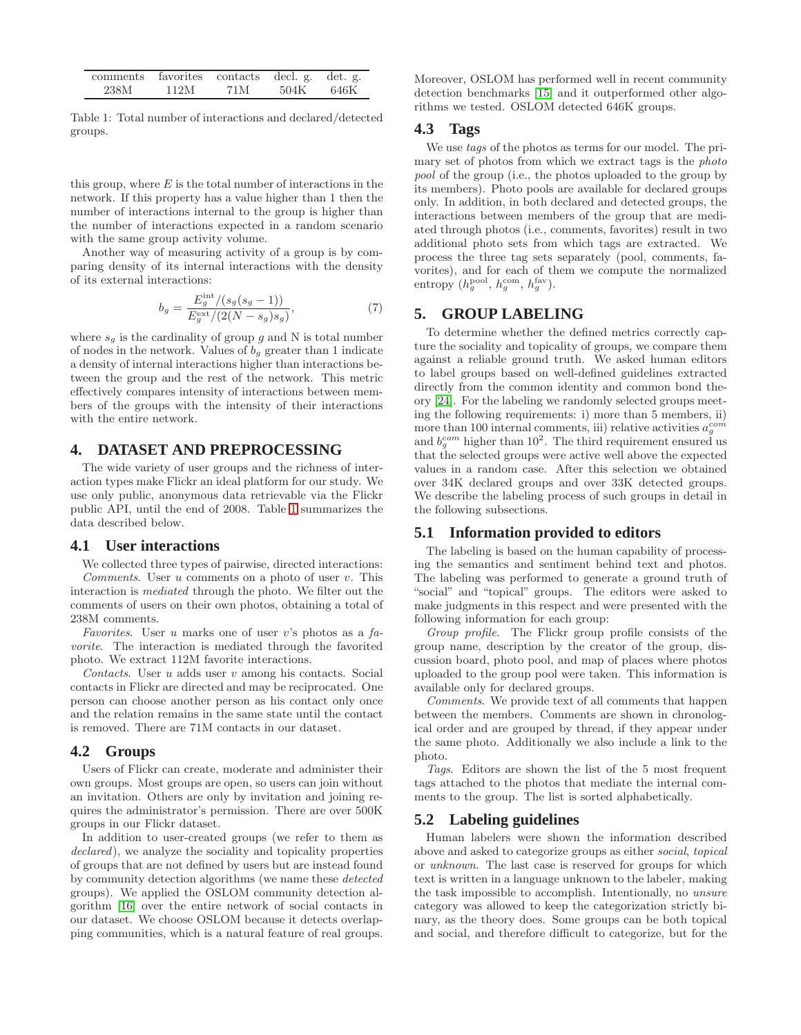<span id="page-3-2"></span>

| comments | favorites | contacts | $\chi$ decl. $\chi$ . | det. g. |
|----------|-----------|----------|-----------------------|---------|
| 238M     | 112M      | 71 M     | 504K                  | 646K    |

Table 1: Total number of interactions and declared/detected groups.

this group, where  $E$  is the total number of interactions in the network. If this property has a value higher than 1 then the number of interactions internal to the group is higher than the number of interactions expected in a random scenario with the same group activity volume.

Another way of measuring activity of a group is by comparing density of its internal interactions with the density of its external interactions:

$$
b_g = \frac{E_g^{\text{int}}/(s_g(s_g - 1))}{E_g^{\text{ext}}/(2(N - s_g)s_g)},
$$
\n(7)

where  $s_g$  is the cardinality of group g and N is total number of nodes in the network. Values of  $b<sub>g</sub>$  greater than 1 indicate a density of internal interactions higher than interactions between the group and the rest of the network. This metric effectively compares intensity of interactions between members of the groups with the intensity of their interactions with the entire network.

### <span id="page-3-0"></span>**4. DATASET AND PREPROCESSING**

The wide variety of user groups and the richness of interaction types make Flickr an ideal platform for our study. We use only public, anonymous data retrievable via the Flickr public API, until the end of 2008. Table [1](#page-3-2) summarizes the data described below.

### **4.1 User interactions**

We collected three types of pairwise, directed interactions: *Comments.* User  $u$  comments on a photo of user  $v$ . This interaction is mediated through the photo. We filter out the comments of users on their own photos, obtaining a total of 238M comments.

Favorites. User u marks one of user v's photos as a  $fa$ vorite. The interaction is mediated through the favorited photo. We extract 112M favorite interactions.

Contacts. User  $u$  adds user  $v$  among his contacts. Social contacts in Flickr are directed and may be reciprocated. One person can choose another person as his contact only once and the relation remains in the same state until the contact is removed. There are 71M contacts in our dataset.

#### **4.2 Groups**

Users of Flickr can create, moderate and administer their own groups. Most groups are open, so users can join without an invitation. Others are only by invitation and joining requires the administrator's permission. There are over 500K groups in our Flickr dataset.

In addition to user-created groups (we refer to them as declared), we analyze the sociality and topicality properties of groups that are not defined by users but are instead found by community detection algorithms (we name these detected groups). We applied the OSLOM community detection algorithm [\[16\]](#page-9-29) over the entire network of social contacts in our dataset. We choose OSLOM because it detects overlapping communities, which is a natural feature of real groups. Moreover, OSLOM has performed well in recent community detection benchmarks [\[15\]](#page-9-8) and it outperformed other algorithms we tested. OSLOM detected 646K groups.

#### **4.3 Tags**

We use tags of the photos as terms for our model. The primary set of photos from which we extract tags is the photo pool of the group (i.e., the photos uploaded to the group by its members). Photo pools are available for declared groups only. In addition, in both declared and detected groups, the interactions between members of the group that are mediated through photos (i.e., comments, favorites) result in two additional photo sets from which tags are extracted. We process the three tag sets separately (pool, comments, favorites), and for each of them we compute the normalized entropy  $(h_g^{\text{pool}}, h_g^{\text{com}}, h_g^{\text{fav}})$ .

## <span id="page-3-1"></span>**5. GROUP LABELING**

To determine whether the defined metrics correctly capture the sociality and topicality of groups, we compare them against a reliable ground truth. We asked human editors to label groups based on well-defined guidelines extracted directly from the common identity and common bond theory [\[24\]](#page-9-3). For the labeling we randomly selected groups meeting the following requirements: i) more than 5 members, ii) more than 100 internal comments, iii) relative activities  $a_g^{com}$ and  $b_g^{com}$  higher than  $10^2$ . The third requirement ensured us that the selected groups were active well above the expected values in a random case. After this selection we obtained over 34K declared groups and over 33K detected groups. We describe the labeling process of such groups in detail in the following subsections.

#### **5.1 Information provided to editors**

The labeling is based on the human capability of processing the semantics and sentiment behind text and photos. The labeling was performed to generate a ground truth of "social" and "topical" groups. The editors were asked to make judgments in this respect and were presented with the following information for each group:

Group profile. The Flickr group profile consists of the group name, description by the creator of the group, discussion board, photo pool, and map of places where photos uploaded to the group pool were taken. This information is available only for declared groups.

Comments. We provide text of all comments that happen between the members. Comments are shown in chronological order and are grouped by thread, if they appear under the same photo. Additionally we also include a link to the photo.

Tags. Editors are shown the list of the 5 most frequent tags attached to the photos that mediate the internal comments to the group. The list is sorted alphabetically.

### **5.2 Labeling guidelines**

Human labelers were shown the information described above and asked to categorize groups as either social, topical or unknown. The last case is reserved for groups for which text is written in a language unknown to the labeler, making the task impossible to accomplish. Intentionally, no unsure category was allowed to keep the categorization strictly binary, as the theory does. Some groups can be both topical and social, and therefore difficult to categorize, but for the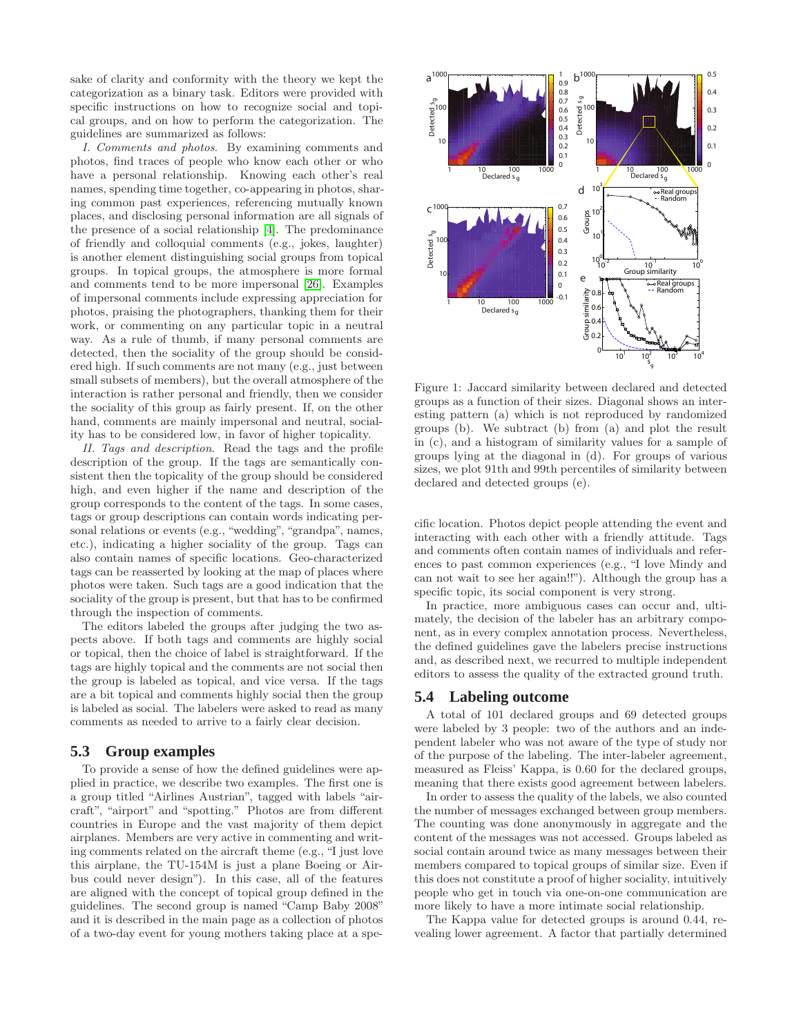sake of clarity and conformity with the theory we kept the categorization as a binary task. Editors were provided with specific instructions on how to recognize social and topical groups, and on how to perform the categorization. The guidelines are summarized as follows:

I. Comments and photos. By examining comments and photos, find traces of people who know each other or who have a personal relationship. Knowing each other's real names, spending time together, co-appearing in photos, sharing common past experiences, referencing mutually known places, and disclosing personal information are all signals of the presence of a social relationship [\[4\]](#page-9-30). The predominance of friendly and colloquial comments (e.g., jokes, laughter) is another element distinguishing social groups from topical groups. In topical groups, the atmosphere is more formal and comments tend to be more impersonal [\[26\]](#page-9-1). Examples of impersonal comments include expressing appreciation for photos, praising the photographers, thanking them for their work, or commenting on any particular topic in a neutral way. As a rule of thumb, if many personal comments are detected, then the sociality of the group should be considered high. If such comments are not many (e.g., just between small subsets of members), but the overall atmosphere of the interaction is rather personal and friendly, then we consider the sociality of this group as fairly present. If, on the other hand, comments are mainly impersonal and neutral, sociality has to be considered low, in favor of higher topicality.

II. Tags and description. Read the tags and the profile description of the group. If the tags are semantically consistent then the topicality of the group should be considered high, and even higher if the name and description of the group corresponds to the content of the tags. In some cases, tags or group descriptions can contain words indicating personal relations or events (e.g., "wedding", "grandpa", names, etc.), indicating a higher sociality of the group. Tags can also contain names of specific locations. Geo-characterized tags can be reasserted by looking at the map of places where photos were taken. Such tags are a good indication that the sociality of the group is present, but that has to be confirmed through the inspection of comments.

The editors labeled the groups after judging the two aspects above. If both tags and comments are highly social or topical, then the choice of label is straightforward. If the tags are highly topical and the comments are not social then the group is labeled as topical, and vice versa. If the tags are a bit topical and comments highly social then the group is labeled as social. The labelers were asked to read as many comments as needed to arrive to a fairly clear decision.

#### **5.3 Group examples**

To provide a sense of how the defined guidelines were applied in practice, we describe two examples. The first one is a group titled "Airlines Austrian", tagged with labels "aircraft", "airport" and "spotting." Photos are from different countries in Europe and the vast majority of them depict airplanes. Members are very active in commenting and writing comments related on the aircraft theme (e.g., "I just love this airplane, the TU-154M is just a plane Boeing or Airbus could never design"). In this case, all of the features are aligned with the concept of topical group defined in the guidelines. The second group is named "Camp Baby 2008" and it is described in the main page as a collection of photos of a two-day event for young mothers taking place at a spe-

<span id="page-4-0"></span>

Figure 1: Jaccard similarity between declared and detected groups as a function of their sizes. Diagonal shows an interesting pattern (a) which is not reproduced by randomized groups (b). We subtract (b) from (a) and plot the result in (c), and a histogram of similarity values for a sample of groups lying at the diagonal in (d). For groups of various sizes, we plot 91th and 99th percentiles of similarity between declared and detected groups (e).

cific location. Photos depict people attending the event and interacting with each other with a friendly attitude. Tags and comments often contain names of individuals and references to past common experiences (e.g., "I love Mindy and can not wait to see her again!!"). Although the group has a specific topic, its social component is very strong.

In practice, more ambiguous cases can occur and, ultimately, the decision of the labeler has an arbitrary component, as in every complex annotation process. Nevertheless, the defined guidelines gave the labelers precise instructions and, as described next, we recurred to multiple independent editors to assess the quality of the extracted ground truth.

## **5.4 Labeling outcome**

A total of 101 declared groups and 69 detected groups were labeled by 3 people: two of the authors and an independent labeler who was not aware of the type of study nor of the purpose of the labeling. The inter-labeler agreement, measured as Fleiss' Kappa, is 0.60 for the declared groups, meaning that there exists good agreement between labelers.

In order to assess the quality of the labels, we also counted the number of messages exchanged between group members. The counting was done anonymously in aggregate and the content of the messages was not accessed. Groups labeled as social contain around twice as many messages between their members compared to topical groups of similar size. Even if this does not constitute a proof of higher sociality, intuitively people who get in touch via one-on-one communication are more likely to have a more intimate social relationship.

The Kappa value for detected groups is around 0.44, revealing lower agreement. A factor that partially determined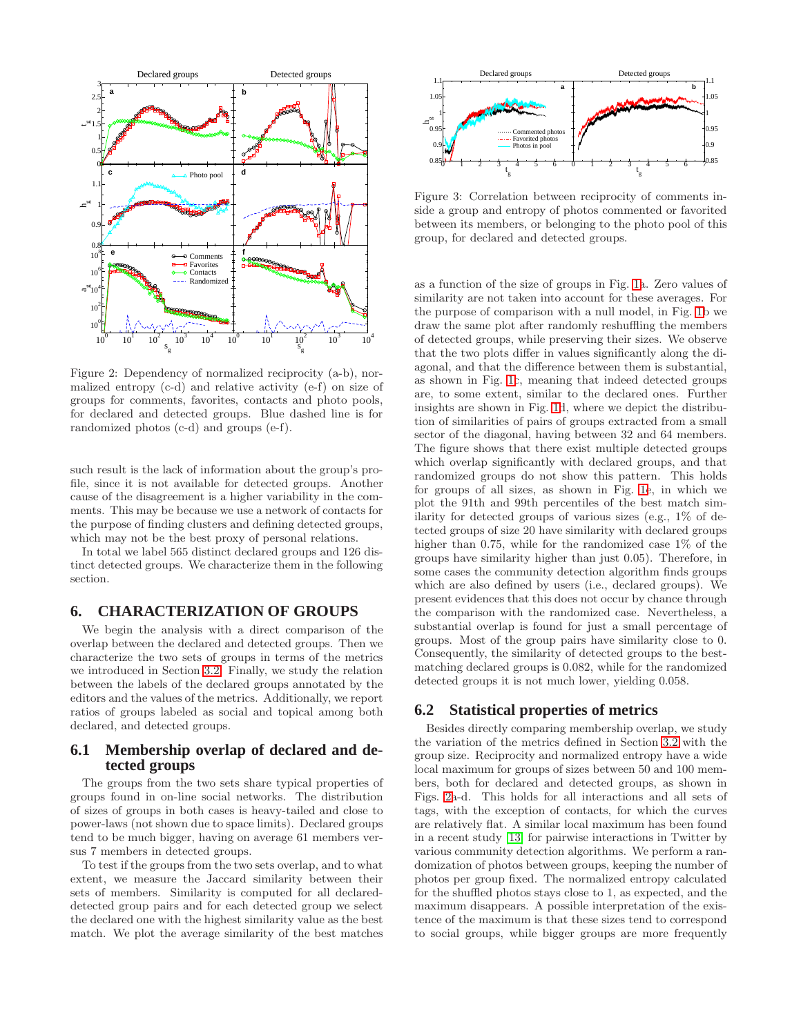<span id="page-5-1"></span>

Figure 2: Dependency of normalized reciprocity (a-b), normalized entropy (c-d) and relative activity (e-f) on size of groups for comments, favorites, contacts and photo pools, for declared and detected groups. Blue dashed line is for randomized photos (c-d) and groups (e-f).

such result is the lack of information about the group's profile, since it is not available for detected groups. Another cause of the disagreement is a higher variability in the comments. This may be because we use a network of contacts for the purpose of finding clusters and defining detected groups, which may not be the best proxy of personal relations.

In total we label 565 distinct declared groups and 126 distinct detected groups. We characterize them in the following section.

# <span id="page-5-0"></span>**6. CHARACTERIZATION OF GROUPS**

We begin the analysis with a direct comparison of the overlap between the declared and detected groups. Then we characterize the two sets of groups in terms of the metrics we introduced in Section [3.2.](#page-2-0) Finally, we study the relation between the labels of the declared groups annotated by the editors and the values of the metrics. Additionally, we report ratios of groups labeled as social and topical among both declared, and detected groups.

## **6.1 Membership overlap of declared and detected groups**

The groups from the two sets share typical properties of groups found in on-line social networks. The distribution of sizes of groups in both cases is heavy-tailed and close to power-laws (not shown due to space limits). Declared groups tend to be much bigger, having on average 61 members versus 7 members in detected groups.

To test if the groups from the two sets overlap, and to what extent, we measure the Jaccard similarity between their sets of members. Similarity is computed for all declareddetected group pairs and for each detected group we select the declared one with the highest similarity value as the best match. We plot the average similarity of the best matches

<span id="page-5-2"></span>

Figure 3: Correlation between reciprocity of comments inside a group and entropy of photos commented or favorited between its members, or belonging to the photo pool of this group, for declared and detected groups.

as a function of the size of groups in Fig. [1a](#page-4-0). Zero values of similarity are not taken into account for these averages. For the purpose of comparison with a null model, in Fig. [1b](#page-4-0) we draw the same plot after randomly reshuffling the members of detected groups, while preserving their sizes. We observe that the two plots differ in values significantly along the diagonal, and that the difference between them is substantial, as shown in Fig. [1c](#page-4-0), meaning that indeed detected groups are, to some extent, similar to the declared ones. Further insights are shown in Fig. [1d](#page-4-0), where we depict the distribution of similarities of pairs of groups extracted from a small sector of the diagonal, having between 32 and 64 members. The figure shows that there exist multiple detected groups which overlap significantly with declared groups, and that randomized groups do not show this pattern. This holds for groups of all sizes, as shown in Fig. [1e](#page-4-0), in which we plot the 91th and 99th percentiles of the best match similarity for detected groups of various sizes (e.g., 1% of detected groups of size 20 have similarity with declared groups higher than 0.75, while for the randomized case 1% of the groups have similarity higher than just 0.05). Therefore, in some cases the community detection algorithm finds groups which are also defined by users (i.e., declared groups). We present evidences that this does not occur by chance through the comparison with the randomized case. Nevertheless, a substantial overlap is found for just a small percentage of groups. Most of the group pairs have similarity close to 0. Consequently, the similarity of detected groups to the bestmatching declared groups is 0.082, while for the randomized detected groups it is not much lower, yielding 0.058.

## <span id="page-5-3"></span>**6.2 Statistical properties of metrics**

Besides directly comparing membership overlap, we study the variation of the metrics defined in Section [3.2](#page-2-0) with the group size. Reciprocity and normalized entropy have a wide local maximum for groups of sizes between 50 and 100 members, both for declared and detected groups, as shown in Figs. [2a](#page-5-1)-d. This holds for all interactions and all sets of tags, with the exception of contacts, for which the curves are relatively flat. A similar local maximum has been found in a recent study [\[13\]](#page-9-17) for pairwise interactions in Twitter by various community detection algorithms. We perform a randomization of photos between groups, keeping the number of photos per group fixed. The normalized entropy calculated for the shuffled photos stays close to 1, as expected, and the maximum disappears. A possible interpretation of the existence of the maximum is that these sizes tend to correspond to social groups, while bigger groups are more frequently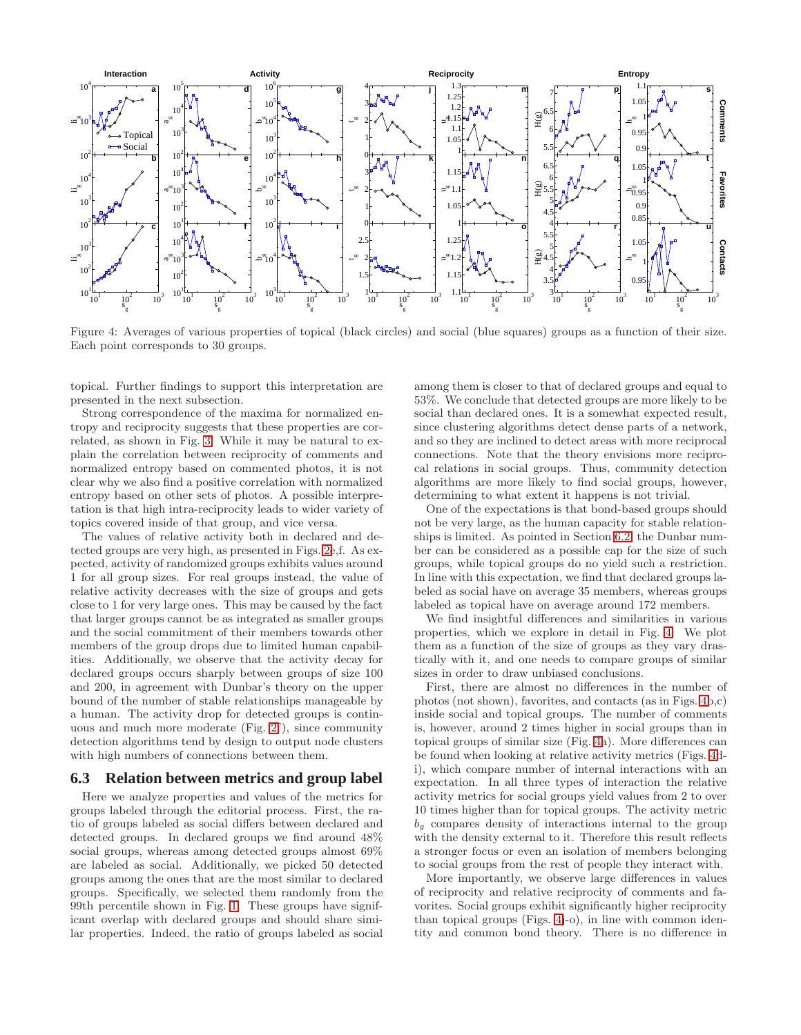<span id="page-6-0"></span>

Figure 4: Averages of various properties of topical (black circles) and social (blue squares) groups as a function of their size. Each point corresponds to 30 groups.

topical. Further findings to support this interpretation are presented in the next subsection.

Strong correspondence of the maxima for normalized entropy and reciprocity suggests that these properties are correlated, as shown in Fig. [3.](#page-5-2) While it may be natural to explain the correlation between reciprocity of comments and normalized entropy based on commented photos, it is not clear why we also find a positive correlation with normalized entropy based on other sets of photos. A possible interpretation is that high intra-reciprocity leads to wider variety of topics covered inside of that group, and vice versa.

The values of relative activity both in declared and detected groups are very high, as presented in Figs. [2e](#page-5-1),f. As expected, activity of randomized groups exhibits values around 1 for all group sizes. For real groups instead, the value of relative activity decreases with the size of groups and gets close to 1 for very large ones. This may be caused by the fact that larger groups cannot be as integrated as smaller groups and the social commitment of their members towards other members of the group drops due to limited human capabilities. Additionally, we observe that the activity decay for declared groups occurs sharply between groups of size 100 and 200, in agreement with Dunbar's theory on the upper bound of the number of stable relationships manageable by a human. The activity drop for detected groups is continuous and much more moderate (Fig. [2f](#page-5-1)), since community detection algorithms tend by design to output node clusters with high numbers of connections between them.

#### **6.3 Relation between metrics and group label**

Here we analyze properties and values of the metrics for groups labeled through the editorial process. First, the ratio of groups labeled as social differs between declared and detected groups. In declared groups we find around 48% social groups, whereas among detected groups almost 69% are labeled as social. Additionally, we picked 50 detected groups among the ones that are the most similar to declared groups. Specifically, we selected them randomly from the 99th percentile shown in Fig. [1.](#page-4-0) These groups have significant overlap with declared groups and should share similar properties. Indeed, the ratio of groups labeled as social

among them is closer to that of declared groups and equal to 53%. We conclude that detected groups are more likely to be social than declared ones. It is a somewhat expected result, since clustering algorithms detect dense parts of a network, and so they are inclined to detect areas with more reciprocal connections. Note that the theory envisions more reciprocal relations in social groups. Thus, community detection algorithms are more likely to find social groups, however, determining to what extent it happens is not trivial.

One of the expectations is that bond-based groups should not be very large, as the human capacity for stable relationships is limited. As pointed in Section [6.2,](#page-5-3) the Dunbar number can be considered as a possible cap for the size of such groups, while topical groups do no yield such a restriction. In line with this expectation, we find that declared groups labeled as social have on average 35 members, whereas groups labeled as topical have on average around 172 members.

We find insightful differences and similarities in various properties, which we explore in detail in Fig. [4.](#page-6-0) We plot them as a function of the size of groups as they vary drastically with it, and one needs to compare groups of similar sizes in order to draw unbiased conclusions.

First, there are almost no differences in the number of photos (not shown), favorites, and contacts (as in Figs. [4b](#page-6-0),c) inside social and topical groups. The number of comments is, however, around 2 times higher in social groups than in topical groups of similar size (Fig. [4a](#page-6-0)). More differences can be found when looking at relative activity metrics (Figs. [4d](#page-6-0)i), which compare number of internal interactions with an expectation. In all three types of interaction the relative activity metrics for social groups yield values from 2 to over 10 times higher than for topical groups. The activity metric  $b_q$  compares density of interactions internal to the group with the density external to it. Therefore this result reflects a stronger focus or even an isolation of members belonging to social groups from the rest of people they interact with.

More importantly, we observe large differences in values of reciprocity and relative reciprocity of comments and favorites. Social groups exhibit significantly higher reciprocity than topical groups (Figs. [4j](#page-6-0)-o), in line with common identity and common bond theory. There is no difference in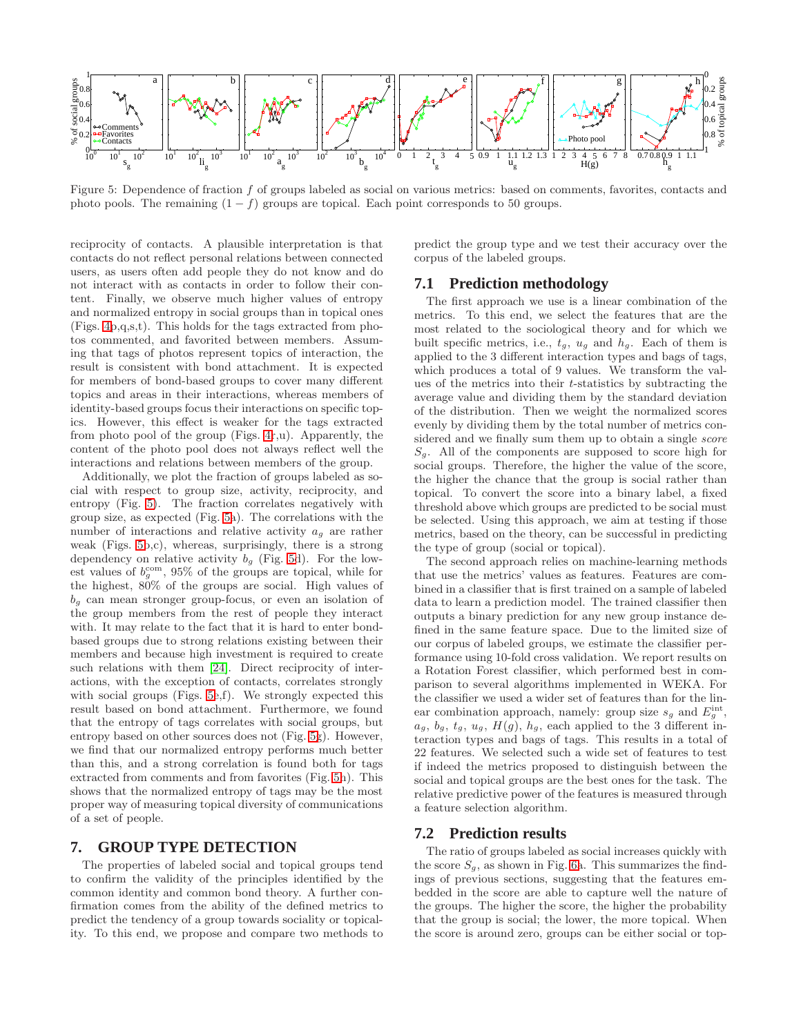<span id="page-7-1"></span>

Figure 5: Dependence of fraction f of groups labeled as social on various metrics: based on comments, favorites, contacts and photo pools. The remaining  $(1 - f)$  groups are topical. Each point corresponds to 50 groups.

reciprocity of contacts. A plausible interpretation is that contacts do not reflect personal relations between connected users, as users often add people they do not know and do not interact with as contacts in order to follow their content. Finally, we observe much higher values of entropy and normalized entropy in social groups than in topical ones (Figs. [4p](#page-6-0),q,s,t). This holds for the tags extracted from photos commented, and favorited between members. Assuming that tags of photos represent topics of interaction, the result is consistent with bond attachment. It is expected for members of bond-based groups to cover many different topics and areas in their interactions, whereas members of identity-based groups focus their interactions on specific topics. However, this effect is weaker for the tags extracted from photo pool of the group (Figs. [4r](#page-6-0),u). Apparently, the content of the photo pool does not always reflect well the interactions and relations between members of the group.

Additionally, we plot the fraction of groups labeled as social with respect to group size, activity, reciprocity, and entropy (Fig. [5\)](#page-7-1). The fraction correlates negatively with group size, as expected (Fig. [5a](#page-7-1)). The correlations with the number of interactions and relative activity  $a_q$  are rather weak (Figs. [5b](#page-7-1),c), whereas, surprisingly, there is a strong dependency on relative activity  $b_q$  (Fig. [5d](#page-7-1)). For the lowest values of  $b_g^{\text{com}}$ , 95% of the groups are topical, while for the highest, 80% of the groups are social. High values of  $b<sub>q</sub>$  can mean stronger group-focus, or even an isolation of the group members from the rest of people they interact with. It may relate to the fact that it is hard to enter bondbased groups due to strong relations existing between their members and because high investment is required to create such relations with them [\[24\]](#page-9-3). Direct reciprocity of interactions, with the exception of contacts, correlates strongly with social groups (Figs. [5e](#page-7-1),f). We strongly expected this result based on bond attachment. Furthermore, we found that the entropy of tags correlates with social groups, but entropy based on other sources does not (Fig. [5g](#page-7-1)). However, we find that our normalized entropy performs much better than this, and a strong correlation is found both for tags extracted from comments and from favorites (Fig. [5h](#page-7-1)). This shows that the normalized entropy of tags may be the most proper way of measuring topical diversity of communications of a set of people.

#### <span id="page-7-0"></span>**7. GROUP TYPE DETECTION**

The properties of labeled social and topical groups tend to confirm the validity of the principles identified by the common identity and common bond theory. A further confirmation comes from the ability of the defined metrics to predict the tendency of a group towards sociality or topicality. To this end, we propose and compare two methods to

predict the group type and we test their accuracy over the corpus of the labeled groups.

## **7.1 Prediction methodology**

The first approach we use is a linear combination of the metrics. To this end, we select the features that are the most related to the sociological theory and for which we built specific metrics, i.e.,  $t_g$ ,  $u_g$  and  $h_g$ . Each of them is applied to the 3 different interaction types and bags of tags, which produces a total of 9 values. We transform the values of the metrics into their t-statistics by subtracting the average value and dividing them by the standard deviation of the distribution. Then we weight the normalized scores evenly by dividing them by the total number of metrics considered and we finally sum them up to obtain a single *score*  $S_q$ . All of the components are supposed to score high for social groups. Therefore, the higher the value of the score, the higher the chance that the group is social rather than topical. To convert the score into a binary label, a fixed threshold above which groups are predicted to be social must be selected. Using this approach, we aim at testing if those metrics, based on the theory, can be successful in predicting the type of group (social or topical).

The second approach relies on machine-learning methods that use the metrics' values as features. Features are combined in a classifier that is first trained on a sample of labeled data to learn a prediction model. The trained classifier then outputs a binary prediction for any new group instance defined in the same feature space. Due to the limited size of our corpus of labeled groups, we estimate the classifier performance using 10-fold cross validation. We report results on a Rotation Forest classifier, which performed best in comparison to several algorithms implemented in WEKA. For the classifier we used a wider set of features than for the linear combination approach, namely: group size  $s_g$  and  $E_g^{\text{int}}$ ,  $a_g, b_g, t_g, u_g, H(g), h_g$ , each applied to the 3 different interaction types and bags of tags. This results in a total of 22 features. We selected such a wide set of features to test if indeed the metrics proposed to distinguish between the social and topical groups are the best ones for the task. The relative predictive power of the features is measured through a feature selection algorithm.

## **7.2 Prediction results**

The ratio of groups labeled as social increases quickly with the score  $S_q$ , as shown in Fig. [6a](#page-8-0). This summarizes the findings of previous sections, suggesting that the features embedded in the score are able to capture well the nature of the groups. The higher the score, the higher the probability that the group is social; the lower, the more topical. When the score is around zero, groups can be either social or top-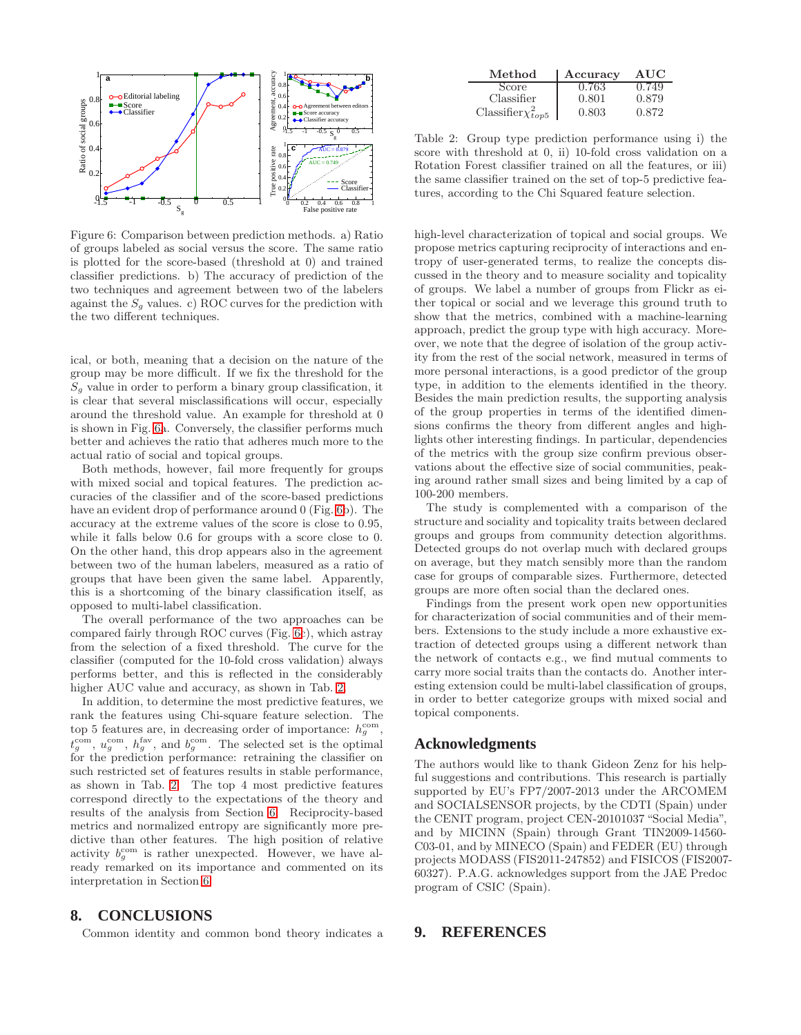<span id="page-8-0"></span>

Figure 6: Comparison between prediction methods. a) Ratio of groups labeled as social versus the score. The same ratio is plotted for the score-based (threshold at 0) and trained classifier predictions. b) The accuracy of prediction of the two techniques and agreement between two of the labelers against the  $S_g$  values. c) ROC curves for the prediction with the two different techniques.

ical, or both, meaning that a decision on the nature of the group may be more difficult. If we fix the threshold for the  $S<sub>g</sub>$  value in order to perform a binary group classification, it is clear that several misclassifications will occur, especially around the threshold value. An example for threshold at 0 is shown in Fig. [6a](#page-8-0). Conversely, the classifier performs much better and achieves the ratio that adheres much more to the actual ratio of social and topical groups.

Both methods, however, fail more frequently for groups with mixed social and topical features. The prediction accuracies of the classifier and of the score-based predictions have an evident drop of performance around 0 (Fig. [6b](#page-8-0)). The accuracy at the extreme values of the score is close to 0.95, while it falls below 0.6 for groups with a score close to 0. On the other hand, this drop appears also in the agreement between two of the human labelers, measured as a ratio of groups that have been given the same label. Apparently, this is a shortcoming of the binary classification itself, as opposed to multi-label classification.

The overall performance of the two approaches can be compared fairly through ROC curves (Fig. [6c](#page-8-0)), which astray from the selection of a fixed threshold. The curve for the classifier (computed for the 10-fold cross validation) always performs better, and this is reflected in the considerably higher AUC value and accuracy, as shown in Tab. [2.](#page-8-1)

In addition, to determine the most predictive features, we rank the features using Chi-square feature selection. The top 5 features are, in decreasing order of importance:  $h_g^{\text{com}}$ ,  $t_g^{\text{com}}, u_g^{\text{com}}, h_g^{\text{far}}, \text{ and } b_g^{\text{com}}.$  The selected set is the optimal for the prediction performance: retraining the classifier on such restricted set of features results in stable performance, as shown in Tab. [2.](#page-8-1) The top 4 most predictive features correspond directly to the expectations of the theory and results of the analysis from Section [6.](#page-5-0) Reciprocity-based metrics and normalized entropy are significantly more predictive than other features. The high position of relative activity  $b_g^{\text{com}}$  is rather unexpected. However, we have already remarked on its importance and commented on its interpretation in Section [6.](#page-5-0)

## **8. CONCLUSIONS**

Common identity and common bond theory indicates a

<span id="page-8-1"></span>

| Method                     | Accuracy | AUC   |
|----------------------------|----------|-------|
| Score                      | 0.763    | 0.749 |
| Classifier                 | 0.801    | 0.879 |
| Classifier $\chi_{top5}^2$ | 0.803    | 0.872 |

Table 2: Group type prediction performance using i) the score with threshold at 0, ii) 10-fold cross validation on a Rotation Forest classifier trained on all the features, or iii) the same classifier trained on the set of top-5 predictive features, according to the Chi Squared feature selection.

high-level characterization of topical and social groups. We propose metrics capturing reciprocity of interactions and entropy of user-generated terms, to realize the concepts discussed in the theory and to measure sociality and topicality of groups. We label a number of groups from Flickr as either topical or social and we leverage this ground truth to show that the metrics, combined with a machine-learning approach, predict the group type with high accuracy. Moreover, we note that the degree of isolation of the group activity from the rest of the social network, measured in terms of more personal interactions, is a good predictor of the group type, in addition to the elements identified in the theory. Besides the main prediction results, the supporting analysis of the group properties in terms of the identified dimensions confirms the theory from different angles and highlights other interesting findings. In particular, dependencies of the metrics with the group size confirm previous observations about the effective size of social communities, peaking around rather small sizes and being limited by a cap of 100-200 members.

The study is complemented with a comparison of the structure and sociality and topicality traits between declared groups and groups from community detection algorithms. Detected groups do not overlap much with declared groups on average, but they match sensibly more than the random case for groups of comparable sizes. Furthermore, detected groups are more often social than the declared ones.

Findings from the present work open new opportunities for characterization of social communities and of their members. Extensions to the study include a more exhaustive extraction of detected groups using a different network than the network of contacts e.g., we find mutual comments to carry more social traits than the contacts do. Another interesting extension could be multi-label classification of groups, in order to better categorize groups with mixed social and topical components.

#### **Acknowledgments**

The authors would like to thank Gideon Zenz for his helpful suggestions and contributions. This research is partially supported by EU's FP7/2007-2013 under the ARCOMEM and SOCIALSENSOR projects, by the CDTI (Spain) under the CENIT program, project CEN-20101037 "Social Media", and by MICINN (Spain) through Grant TIN2009-14560- C03-01, and by MINECO (Spain) and FEDER (EU) through projects MODASS (FIS2011-247852) and FISICOS (FIS2007- 60327). P.A.G. acknowledges support from the JAE Predoc program of CSIC (Spain).

## **9. REFERENCES**